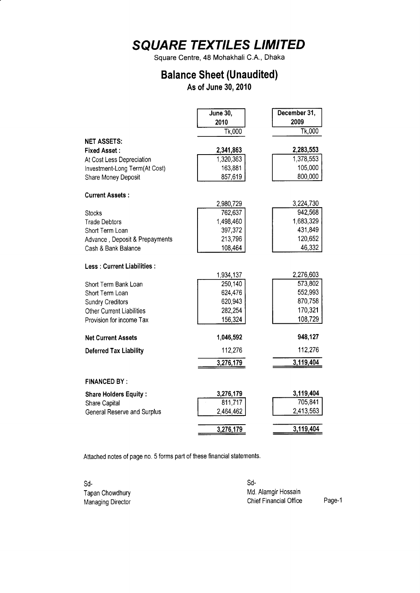Square Centre, 48 Mohakhali C.A., Dhaka

### Balance Sheet (Unaudited)

As of June 30, 2010

|                                   | <b>June 30,</b> | December 31, |
|-----------------------------------|-----------------|--------------|
|                                   | 2010            | 2009         |
|                                   | Tk,000          | Tk,000       |
| <b>NET ASSETS:</b>                |                 |              |
| <b>Fixed Asset:</b>               | 2,341,863       | 2,283,553    |
| At Cost Less Depreciation         | 1,320,363       | 1,378,553    |
| Investment-Long Term(At Cost)     | 163,881         | 105,000      |
| Share Money Deposit               | 857,619         | 800,000      |
| <b>Current Assets:</b>            |                 |              |
|                                   | 2,980,729       | 3,224,730    |
| <b>Stocks</b>                     | 762,637         | 942,568      |
| <b>Trade Debtors</b>              | 1,498,460       | 1,683,329    |
| Short Term Loan                   | 397,372         | 431,849      |
| Advance, Deposit & Prepayments    | 213,796         | 120,652      |
| Cash & Bank Balance               | 108,464         | 46,332       |
| <b>Less: Current Liabilities:</b> |                 |              |
|                                   | 1,934,137       | 2,276,603    |
| Short Term Bank Loan              | 250,140         | 573,802      |
| Short Term Loan                   | 624,476         | 552,993      |
| <b>Sundry Creditors</b>           | 620,943         | 870,758      |
| <b>Other Current Liabilities</b>  | 282,254         | 170,321      |
| Provision for income Tax          | 156,324         | 108,729      |
| <b>Net Current Assets</b>         | 1,046,592       | 948,127      |
| <b>Deferred Tax Liability</b>     | 112,276         | 112,276      |
|                                   | 3,276,179       | 3,119,404    |
|                                   |                 |              |
| <b>FINANCED BY:</b>               |                 |              |
| <b>Share Holders Equity:</b>      | 3,276,179       | 3,119,404    |
| Share Capital                     | 811,717         | 705,841      |
| General Reserve and Surplus       | 2,464,462       | 2,413,563    |
|                                   | 3,276,179       | 3,119,404    |
|                                   |                 |              |

Attached notes of page no. 5 forms part of these financial statements.

| -Sd                      | Sd-                    |        |
|--------------------------|------------------------|--------|
| Tapan Chowdhury          | Md. Alamgir Hossain    |        |
| <b>Managing Director</b> | Chief Financial Office | Page-1 |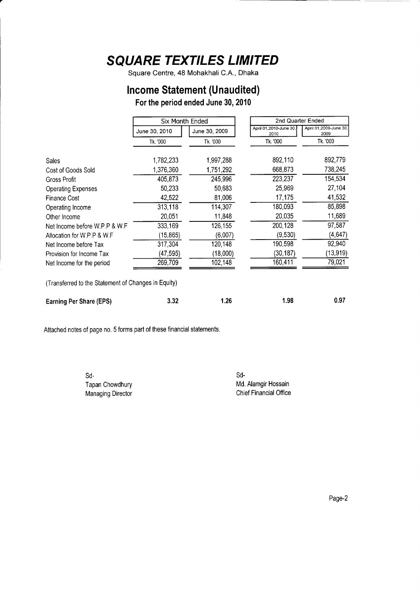Square Centre, 48 Mohakhali C.A., Dhaka

#### Income Statement (Unaudited)

For the period ended June 30, 2010

|                                                     | Six Month Ended                |           | 2nd Quarter Ended              |                                |
|-----------------------------------------------------|--------------------------------|-----------|--------------------------------|--------------------------------|
|                                                     | June 30, 2009<br>June 30, 2010 |           | April 01,2010-June 30,<br>2010 | April 01,2009-June 30,<br>2009 |
|                                                     | Tk. '000                       | Tk. '000  | Tk. '000                       | Tk. '000                       |
| Sales                                               | 1,782,233                      | 1,997,288 | 892,110                        | 892,779                        |
| Cost of Goods Sold                                  | 1,376,360                      | 1,751,292 | 668,873                        | 738,245                        |
| <b>Gross Profit</b>                                 | 405,873                        | 245,996   | 223,237                        | 154,534                        |
| <b>Operating Expenses</b>                           | 50,233                         | 50,683    | 25,969                         | 27,104                         |
| <b>Finance Cost</b>                                 | 42,522                         | 81,006    | 17,175                         | 41,532                         |
| Operating Income                                    | 313,118                        | 114,307   | 180,093                        | 85,898                         |
| Other Income                                        | 20,051                         | 11,848    | 20,035                         | 11,689                         |
| Net Income before W.P.P & W.F.                      | 333,169                        | 126,155   | 200,128                        | 97,587                         |
| Allocation for W.P.P & W.F.                         | (15, 865)                      | (6,007)   | (9,530)                        | (4, 647)                       |
| Net Income before Tax                               | 317,304                        | 120,148   | 190,598                        | 92,940                         |
| Provision for Income Tax                            | (47,595)                       | (18,000)  | (30,187)                       | (13,919)                       |
| Net Income for the period                           | 269,709                        | 102,148   | 160,411                        | 79,021                         |
| (Transferred to the Statement of Changes in Equity) |                                |           |                                |                                |
| Earning Per Share (EPS)                             | 3.32                           | 1.26      | 1.98                           | 0.97                           |

Attached notes of page no. 5 forms part of these financial statements.

sd-Tapan Chowdhury Managing Director sd-Md. Alamgir Hossain Chief Financial Office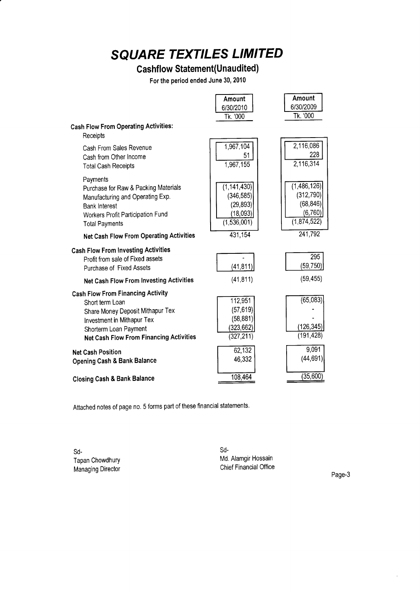### **Cashflow Statement(Unaudited)**

For the period ended June 30, 2010

|                                                                                                                                                                                                          | Amount                                                              | Amount                                                            |
|----------------------------------------------------------------------------------------------------------------------------------------------------------------------------------------------------------|---------------------------------------------------------------------|-------------------------------------------------------------------|
|                                                                                                                                                                                                          | 6/30/2010                                                           | 6/30/2009                                                         |
|                                                                                                                                                                                                          | Tk. '000                                                            | Tk. '000                                                          |
| <b>Cash Flow From Operating Activities:</b>                                                                                                                                                              |                                                                     |                                                                   |
| Receipts                                                                                                                                                                                                 |                                                                     |                                                                   |
| Cash From Sales Revenue<br>Cash from Other Income<br><b>Total Cash Receipts</b>                                                                                                                          | 1,967,104<br>51<br>1,967,155                                        | 2,116,086<br>228<br>2,116,314                                     |
| Payments<br>Purchase for Raw & Packing Materials<br>Manufacturing and Operating Exp.<br><b>Bank Interest</b><br>Workers Profit Participation Fund<br><b>Total Payments</b>                               | (1, 141, 430)<br>(346, 585)<br>(29, 893)<br>(18,093)<br>(1,536,001) | (1,486,126)<br>(312, 790)<br>(68, 846)<br>(6, 760)<br>(1,874,522) |
| <b>Net Cash Flow From Operating Activities</b>                                                                                                                                                           | 431,154                                                             | 241,792                                                           |
|                                                                                                                                                                                                          |                                                                     |                                                                   |
| <b>Cash Flow From Investing Activities</b><br>Profit from sale of Fixed assets                                                                                                                           |                                                                     | 295<br>(59,750)                                                   |
| Purchase of Fixed Assets                                                                                                                                                                                 | (41, 811)                                                           |                                                                   |
| Net Cash Flow From Investing Activities                                                                                                                                                                  | (41, 811)                                                           | (59, 455)                                                         |
| <b>Cash Flow From Financing Activity</b><br>Short term Loan<br>Share Money Deposit Mithapur Tex<br>Investment in Mithapur Tex<br>Shorterm Loan Payment<br><b>Net Cash Flow From Financing Activities</b> | 112,951<br>(57, 619)<br>(58, 881)<br>(323, 662)<br>(327, 211)       | (65,083)<br>(126, 345)<br>(191, 428)                              |
| <b>Net Cash Position</b><br><b>Opening Cash &amp; Bank Balance</b>                                                                                                                                       | 62,132<br>46,332                                                    | 9,091<br>(44, 691)                                                |
| <b>Closing Cash &amp; Bank Balance</b>                                                                                                                                                                   | 108,464                                                             | (35,600)                                                          |

Attached notes of page no. 5 forms part of these financial statements.

sd-Tapan Chowdhury Managing Director sd-Md. Alamgir Hossain Chief Financial Office

Page-3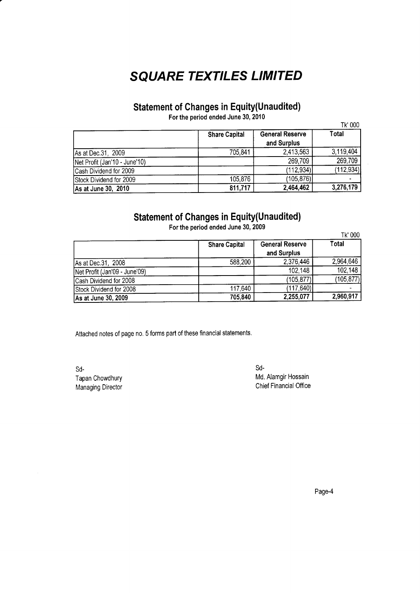#### Statement of Ghanges in Equity(Unaudited)

For the period ended June 30, 2010

|                               | <b>Share Capital</b> | <b>General Reserve</b><br>and Surplus | Total      |
|-------------------------------|----------------------|---------------------------------------|------------|
| As at Dec. 31, 2009           | 705.841              | 2,413,563                             | 3,119,404  |
| Net Profit (Jan'10 - June'10) |                      | 269,709                               | 269,709    |
| Cash Dividend for 2009        |                      | (112, 934)                            | (112, 934) |
| Stock Dividend for 2009       | 105,876              | (105,876)                             |            |
| As at June 30, 2010           | 811,717              | 2,464,462                             | 3,276,179  |

#### **Statement of Changes in Equity(Unaudited)**

Tk'000 Share Capital General Reserve and Surplus<br> $2,376,446$ **Total** As at Dec.31, 2008<br>
Net Profit (Jan'09 - June'09)<br>
102,148 102,148 102,148 Net Profit (Jan'09 - June'09)<br>
Cash Dividend for 2008 (105,877) (105,877) (105,877) Cash Dividend for 2008 (105,877)<br>
Stock Dividend for 2008 (117,640) (117,640) (117,640) Stock Dividend for 2008 117,640 117,640 (117,640)<br>
As at June 30, 2009 2,255,077 As at June 30, 2009 705,840 705,840 2,255,077 2,960,917

Forthe period ended June 30, 2009

Attached notes of page no. 5 forms part of these financial statements.

sd-Tapan Chowdhury Managing Director

sd-Md. Alamgir Hossain Chief Financial Office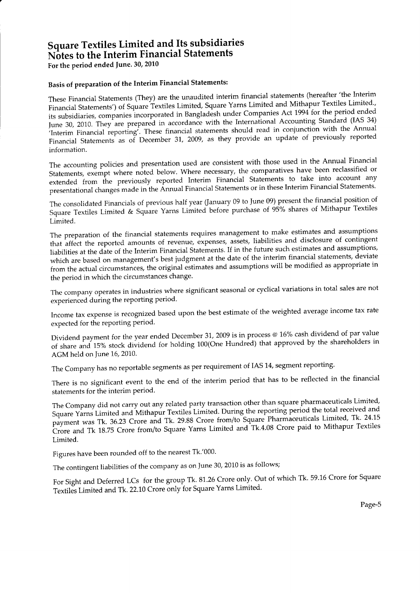#### Square Textiles Limited and Its subsidiaries Notes to the Interim Financial Statements

For the period ended fune. 30, 2010

#### Basis of preparation of the Interim Financial Statements:

These Financial Statements (They) are the unaudited interim financial statements (hereafter'the Interim Financial Statements') of Square Textiles Limited, Square Yarns-Limited and Mithapur Textiles Limited., its subsidiaries, companies incorporated in Bangladesh under Companies Act 1994 for the period ended June 30, 2010. They are prepared in accordance with the International Accounting Standard (IAS 34) 'Interim Financial reporting'. These financial statements should read in conjunction with the Annual Financial statements as of December 31, 2009, as they provide an update of previously reported information.

The accounting policies and presentation used are consistent with those used in the Annual Financial Statements, exempt where noted below. Where necessary, the comparatives have been reclassified or extended from the previously reported Interim Financial statements to take into account any presentational changes made in the Annual Financial Statements or in these Interim Financial Statements.

The consolidated Financials of previous half year (fanuary 09 to June 09) present the financial position of Square Textiles Limited & Square Yarns Limited before purchase of 95% shares of Mithapur Textiles Limited.

The preparation of the financial statements requires management to make estimates and assumptions that affect the reported amounts of revenue, expenses, assets, liabilities and disclosure of contingent liabilities at the date of the Interim Financial statements. If in the future such estimates and assumptions, which are based on management's best judgment at the date of the interim financial statements, deviate from the actual circumstances, the original estimates and assumptions will be modified as appropriate in the period in which the circumstances change.

The company operates in industries where significant seasonal or cyclical variations in total sales are not experienced during the reporting period.

Income tax expense is recognized based upon the best estimate of the weighted average income tax rate expected for the reporting period.

Dividend payment for the year ended December 31, 2009 is in process @ 16% cash dividend of par value of share and 15% stock dividend for holding 100(One Hundred) that approved by the shareholders in AGM held on June 16, 2010.

The Company has no reportable segments as per requirement of IAS 14, segment reporting.

There is no significant event to the end of the interim period that has to be reflected in the financia statements for the interim period.

The Company did not carry out any related party transaction other than square pharmaceuticals Limited, Square Yarns Limited and Mithapur Textiles Limited. During the reporting period the total received and payment was Tk. 36.23 Crore and Tk. 29.88 Crore from/to Square Pharmaceuticals Limited, Tk. 24.15 crore and Tk 18.75 Crore from/to square Yarns Limited and Tk'4.08 Crore paid to Mithapur Textiles Limited.

Figures have been rounded off to the nearest Tk.'000.

The contingent liabilities of the company as on June 30, 2010 is as follows;

For Sight and Deferred LCs for the group Tk. 81.26 Crore only. Out of which Tk. 59.16 Crore for Square Textiles Limited and Tk. 22.10 Crore only for Square Yarns Limited.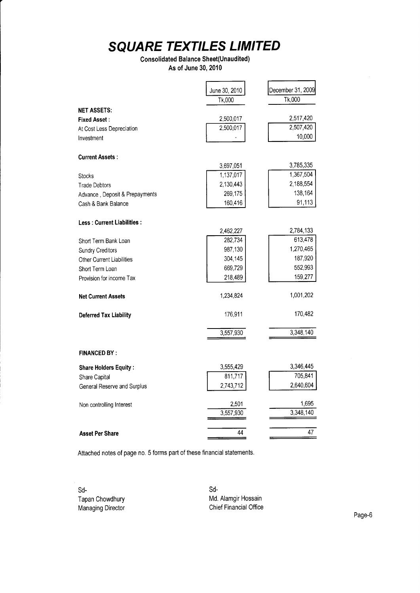#### Consolidated Balance Sheet(Unaudited) As of June 30. 2010

|                                   | June 30, 2010 | December 31, 2009 |
|-----------------------------------|---------------|-------------------|
|                                   | Tk,000        | Tk,000            |
| <b>NET ASSETS:</b>                |               |                   |
| <b>Fixed Asset:</b>               | 2,500,017     | 2,517,420         |
| At Cost Less Depreciation         | 2,500,017     | 2,507,420         |
| Investment                        |               | 10,000            |
| <b>Current Assets:</b>            |               |                   |
|                                   | 3,697,051     | 3,785,335         |
| <b>Stocks</b>                     | 1,137,017     | 1,367,504         |
| <b>Trade Debtors</b>              | 2,130,443     | 2,188,554         |
| Advance, Deposit & Prepayments    | 269,175       | 138,164           |
| Cash & Bank Balance               | 160,416       | 91,113            |
| <b>Less: Current Liabilities:</b> |               |                   |
|                                   | 2,462,227     | 2,784,133         |
| Short Term Bank Loan              | 282,734       | 613,478           |
| <b>Sundry Creditors</b>           | 987,130       | 1,270,465         |
| Other Current Liabilities         | 304,145       | 187,920           |
| Short Term Loan                   | 669,729       | 552,993           |
| Provision for income Tax          | 218,489       | 159,277           |
| <b>Net Current Assets</b>         | 1,234,824     | 1,001,202         |
| <b>Deferred Tax Liability</b>     | 176,911       | 170,482           |
|                                   | 3,557,930     | 3,348,140         |
| <b>FINANCED BY:</b>               |               |                   |
| <b>Share Holders Equity:</b>      | 3,555,429     | 3,346,445         |
| Share Capital                     | 811,717       | 705,841           |
| General Reserve and Surplus       | 2,743,712     | 2,640,604         |
| Non controlling Interest          | 2,501         | 1,695             |
|                                   | 3,557,930     | 3,348,140         |
| <b>Asset Per Share</b>            | 44            | 47                |

Attached notes of page no. 5 forms part of these financial statements.

sd-Tapan Chowdhury Managing Director sd-Md. Alamgir Hossain Chief Financial Office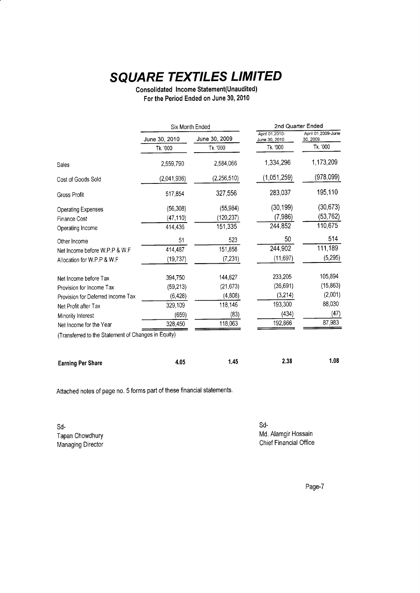Consolidated Income Statement(Unaudited) For the Period Ended on June 30, 2010

|                                                     | Six Month Ended                |             | 2nd Quarter Ended               |                                |
|-----------------------------------------------------|--------------------------------|-------------|---------------------------------|--------------------------------|
|                                                     | June 30, 2009<br>June 30, 2010 |             | April 01,2010-<br>June 30, 2010 | April 01,2009-June<br>30, 2009 |
|                                                     | Tk. '000                       | Tk. '000    | Tk. '000                        | Tk. '000                       |
| Sales                                               | 2,559,790                      | 2,584,066   | 1,334,296                       | 1,173,209                      |
| Cost of Goods Sold                                  | (2,041,936)                    | (2,256,510) | (1,051,259)                     | (978,099)                      |
| Gross Profit                                        | 517,854                        | 327,556     | 283,037                         | 195,110                        |
| <b>Operating Expenses</b>                           | (56, 308)                      | (55,984)    | (30, 199)                       | (30, 673)                      |
| <b>Finance Cost</b>                                 | (47, 110)                      | (120, 237)  | (7,986)                         | (53, 762)                      |
| Operating Income                                    | 414,436                        | 151,335     | 244,852                         | 110,675                        |
| Other Income                                        | 51                             | 523         | 50                              | 514                            |
| Net Income before W.P.P & W.F                       | 414,487                        | 151,858     | 244,902                         | 111,189                        |
| Allocation for W.P.P & W.F.                         | (19, 737)                      | (7, 231)    | (11, 697)                       | (5,295)                        |
| Net Income before Tax                               | 394,750                        | 144,627     | 233,205                         | 105,894                        |
| Provision for Income Tax                            | (59, 213)                      | (21, 673)   | (36, 691)                       | (15, 863)                      |
| Provision for Deferred Income Tax                   | (6, 428)                       | (4,808)     | (3, 214)                        | (2,001)                        |
| Net Profit after Tax                                | 329,109                        | 118,146     | 193,300                         | 88,030                         |
| Minority Interest                                   | (659)                          | (83)        | (434)                           | (47)                           |
| Net Income for the Year                             | 328,450                        | 118,063     | 192,866                         | 87,983                         |
| (Transferred to the Statement of Changes in Equity) |                                |             |                                 |                                |
| <b>Earning Per Share</b>                            | 4.05                           | 1.45        | 2.38                            | 1.08                           |

Attached notes of page no. 5 forms part of these financial statements.

sd-Tapan Chowdhury Managing Director sd-Md. Alamgir Hossain Chief Financial Office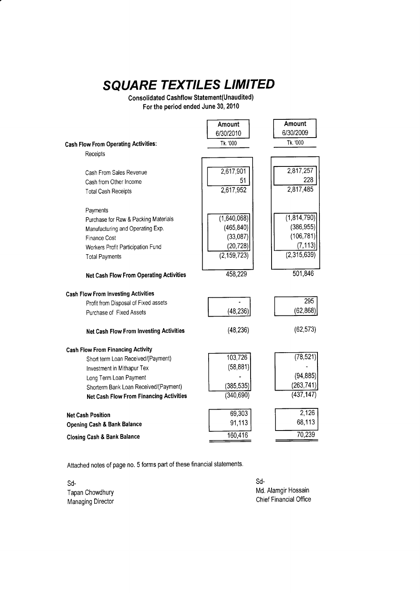Consolidated Cashflow Statement(Unaudited) For the period ended June 30, 2010

|                                                | Amount        | Amount      |
|------------------------------------------------|---------------|-------------|
|                                                | 6/30/2010     | 6/30/2009   |
| <b>Cash Flow From Operating Activities:</b>    | Tk. '000      | Tk. '000    |
| Receipts                                       |               |             |
|                                                |               |             |
| Cash From Sales Revenue                        | 2,617,901     | 2,817,257   |
| Cash from Other Income                         | 51            | 228         |
| <b>Total Cash Receipts</b>                     | 2,617,952     | 2,817,485   |
| Payments                                       |               |             |
| Purchase for Raw & Packing Materials           | (1,640,068)   | (1,814,790) |
| Manufacturing and Operating Exp.               | (465, 840)    | (386, 955)  |
| Finance Cost                                   | (33,087)      | (106, 781)  |
| Workers Profit Participation Fund              | (20, 728)     | (7, 113)    |
| <b>Total Payments</b>                          | (2, 159, 723) | (2,315,639) |
| <b>Net Cash Flow From Operating Activities</b> | 458,229       | 501,846     |
| <b>Cash Flow From Investing Activities</b>     |               |             |
| Profit from Disposal of Fixed assets           |               | 295         |
| Purchase of Fixed Assets                       | (48, 236)     | (62, 868)   |
| <b>Net Cash Flow From Investing Activities</b> | (48, 236)     | (62, 573)   |
| <b>Cash Flow From Financing Activity</b>       |               |             |
| Short term Loan Received/(Payment)             | 103,726       | (78, 521)   |
| Investment in Mithapur Tex                     | (58, 881)     |             |
| Long Term Loan Payment                         |               | (94, 885)   |
| Shorterm Bank Loan Received/(Payment)          | (385, 535)    | (263, 741)  |
| <b>Net Cash Flow From Financing Activities</b> | (340, 690)    | (437, 147)  |
| <b>Net Cash Position</b>                       | 69,303        | 2,126       |
| <b>Opening Cash &amp; Bank Balance</b>         | 91,113        | 68,113      |
| <b>Closing Cash &amp; Bank Balance</b>         | 160,416       | 70,239      |

Attached notes of page no. 5 forms part of these financial statements

sd-Tapan Chowdhury Managing Director

sd-Md. Alamgir Hossain Chief Financial Office